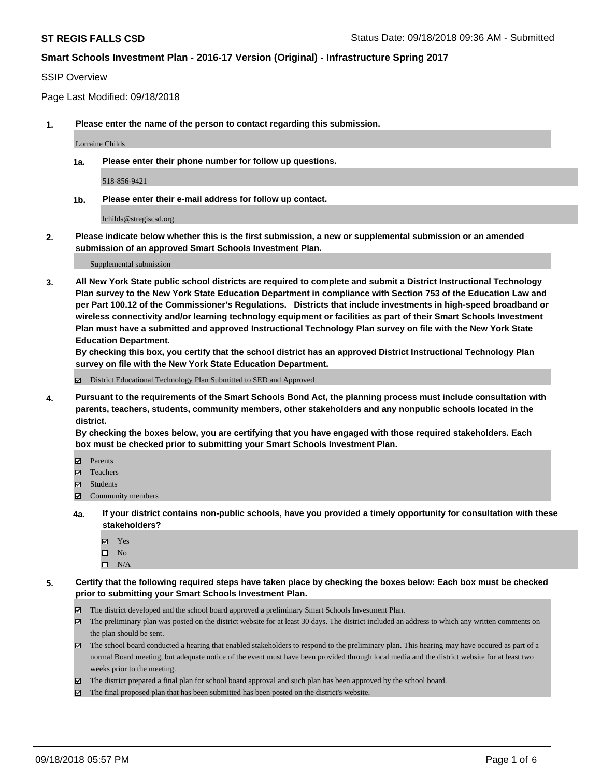#### SSIP Overview

Page Last Modified: 09/18/2018

**1. Please enter the name of the person to contact regarding this submission.**

Lorraine Childs

**1a. Please enter their phone number for follow up questions.**

518-856-9421

**1b. Please enter their e-mail address for follow up contact.**

lchilds@stregiscsd.org

**2. Please indicate below whether this is the first submission, a new or supplemental submission or an amended submission of an approved Smart Schools Investment Plan.**

Supplemental submission

**3. All New York State public school districts are required to complete and submit a District Instructional Technology Plan survey to the New York State Education Department in compliance with Section 753 of the Education Law and per Part 100.12 of the Commissioner's Regulations. Districts that include investments in high-speed broadband or wireless connectivity and/or learning technology equipment or facilities as part of their Smart Schools Investment Plan must have a submitted and approved Instructional Technology Plan survey on file with the New York State Education Department.** 

**By checking this box, you certify that the school district has an approved District Instructional Technology Plan survey on file with the New York State Education Department.**

District Educational Technology Plan Submitted to SED and Approved

**4. Pursuant to the requirements of the Smart Schools Bond Act, the planning process must include consultation with parents, teachers, students, community members, other stakeholders and any nonpublic schools located in the district.** 

**By checking the boxes below, you are certifying that you have engaged with those required stakeholders. Each box must be checked prior to submitting your Smart Schools Investment Plan.**

- Parents
- Teachers
- Students
- $\Xi$  Community members
- **4a. If your district contains non-public schools, have you provided a timely opportunity for consultation with these stakeholders?**
	- Yes
	- $\square$  No
	- $\square$  N/A
- **5. Certify that the following required steps have taken place by checking the boxes below: Each box must be checked prior to submitting your Smart Schools Investment Plan.**
	- The district developed and the school board approved a preliminary Smart Schools Investment Plan.
	- $\boxtimes$  The preliminary plan was posted on the district website for at least 30 days. The district included an address to which any written comments on the plan should be sent.
	- $\boxtimes$  The school board conducted a hearing that enabled stakeholders to respond to the preliminary plan. This hearing may have occured as part of a normal Board meeting, but adequate notice of the event must have been provided through local media and the district website for at least two weeks prior to the meeting.
	- The district prepared a final plan for school board approval and such plan has been approved by the school board.
	- $\boxtimes$  The final proposed plan that has been submitted has been posted on the district's website.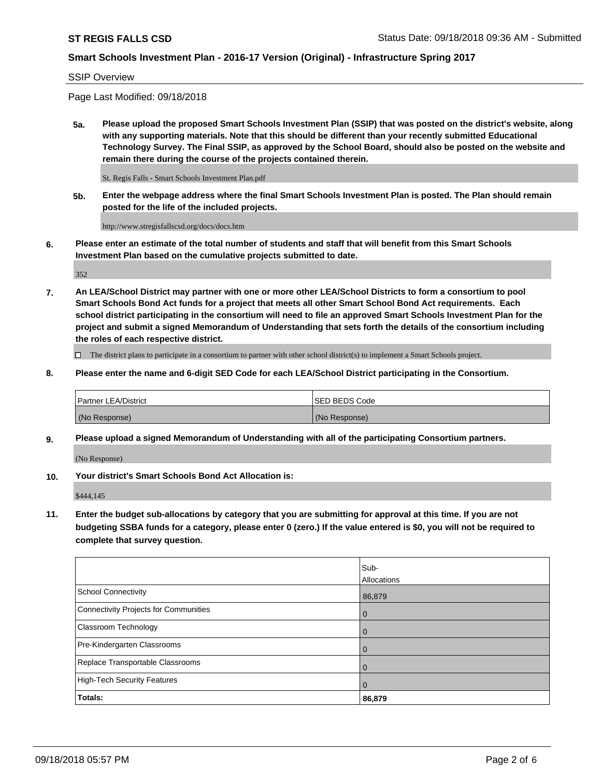#### SSIP Overview

Page Last Modified: 09/18/2018

**5a. Please upload the proposed Smart Schools Investment Plan (SSIP) that was posted on the district's website, along with any supporting materials. Note that this should be different than your recently submitted Educational Technology Survey. The Final SSIP, as approved by the School Board, should also be posted on the website and remain there during the course of the projects contained therein.**

St. Regis Falls - Smart Schools Investment Plan.pdf

**5b. Enter the webpage address where the final Smart Schools Investment Plan is posted. The Plan should remain posted for the life of the included projects.**

http://www.stregisfallscsd.org/docs/docs.htm

**6. Please enter an estimate of the total number of students and staff that will benefit from this Smart Schools Investment Plan based on the cumulative projects submitted to date.**

352

**7. An LEA/School District may partner with one or more other LEA/School Districts to form a consortium to pool Smart Schools Bond Act funds for a project that meets all other Smart School Bond Act requirements. Each school district participating in the consortium will need to file an approved Smart Schools Investment Plan for the project and submit a signed Memorandum of Understanding that sets forth the details of the consortium including the roles of each respective district.**

 $\Box$  The district plans to participate in a consortium to partner with other school district(s) to implement a Smart Schools project.

**8. Please enter the name and 6-digit SED Code for each LEA/School District participating in the Consortium.**

| <b>Partner LEA/District</b> | <b>ISED BEDS Code</b> |
|-----------------------------|-----------------------|
| (No Response)               | (No Response)         |

**9. Please upload a signed Memorandum of Understanding with all of the participating Consortium partners.**

(No Response)

**10. Your district's Smart Schools Bond Act Allocation is:**

\$444,145

**11. Enter the budget sub-allocations by category that you are submitting for approval at this time. If you are not budgeting SSBA funds for a category, please enter 0 (zero.) If the value entered is \$0, you will not be required to complete that survey question.**

|                                              | Sub-<br>Allocations |
|----------------------------------------------|---------------------|
|                                              |                     |
| <b>School Connectivity</b>                   | 86,879              |
| <b>Connectivity Projects for Communities</b> | 0                   |
| Classroom Technology                         |                     |
| Pre-Kindergarten Classrooms                  | $\left($            |
| Replace Transportable Classrooms             |                     |
| <b>High-Tech Security Features</b>           | O                   |
| Totals:                                      | 86,879              |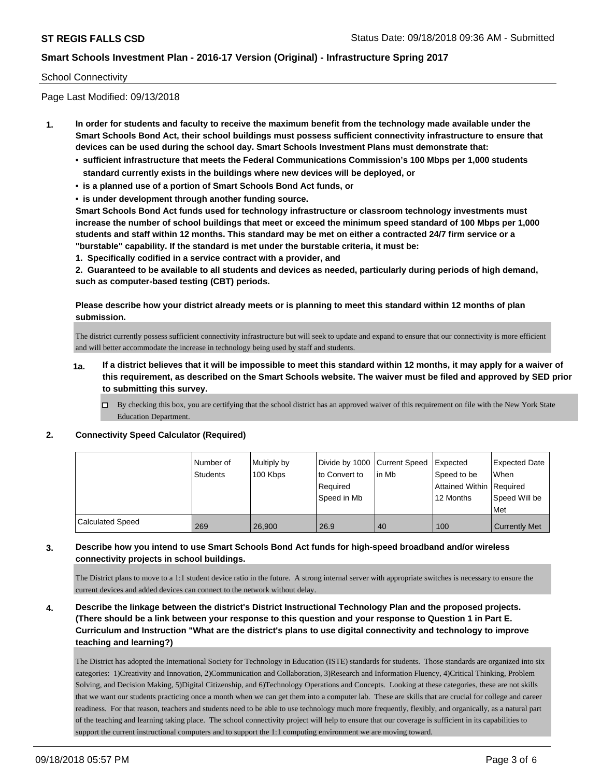### School Connectivity

Page Last Modified: 09/13/2018

- **1. In order for students and faculty to receive the maximum benefit from the technology made available under the Smart Schools Bond Act, their school buildings must possess sufficient connectivity infrastructure to ensure that devices can be used during the school day. Smart Schools Investment Plans must demonstrate that:**
	- **• sufficient infrastructure that meets the Federal Communications Commission's 100 Mbps per 1,000 students standard currently exists in the buildings where new devices will be deployed, or**
	- **• is a planned use of a portion of Smart Schools Bond Act funds, or**
	- **• is under development through another funding source.**

**Smart Schools Bond Act funds used for technology infrastructure or classroom technology investments must increase the number of school buildings that meet or exceed the minimum speed standard of 100 Mbps per 1,000 students and staff within 12 months. This standard may be met on either a contracted 24/7 firm service or a "burstable" capability. If the standard is met under the burstable criteria, it must be:**

**1. Specifically codified in a service contract with a provider, and**

**2. Guaranteed to be available to all students and devices as needed, particularly during periods of high demand, such as computer-based testing (CBT) periods.**

**Please describe how your district already meets or is planning to meet this standard within 12 months of plan submission.**

The district currently possess sufficient connectivity infrastructure but will seek to update and expand to ensure that our connectivity is more efficient and will better accommodate the increase in technology being used by staff and students.

- **1a. If a district believes that it will be impossible to meet this standard within 12 months, it may apply for a waiver of this requirement, as described on the Smart Schools website. The waiver must be filed and approved by SED prior to submitting this survey.**
	- By checking this box, you are certifying that the school district has an approved waiver of this requirement on file with the New York State Education Department.

#### **2. Connectivity Speed Calculator (Required)**

|                         | Number of       | Multiply by | Divide by 1000 Current Speed |        | Expected                   | <b>Expected Date</b> |
|-------------------------|-----------------|-------------|------------------------------|--------|----------------------------|----------------------|
|                         | <b>Students</b> | 100 Kbps    | to Convert to                | lin Mb | Speed to be                | <b>When</b>          |
|                         |                 |             | Required                     |        | Attained Within   Required |                      |
|                         |                 |             | Speed in Mb                  |        | 12 Months                  | Speed Will be        |
|                         |                 |             |                              |        |                            | Met                  |
| <b>Calculated Speed</b> | 269             | 26,900      | 26.9                         | 40     | 100                        | <b>Currently Met</b> |

## **3. Describe how you intend to use Smart Schools Bond Act funds for high-speed broadband and/or wireless connectivity projects in school buildings.**

The District plans to move to a 1:1 student device ratio in the future. A strong internal server with appropriate switches is necessary to ensure the current devices and added devices can connect to the network without delay.

**4. Describe the linkage between the district's District Instructional Technology Plan and the proposed projects. (There should be a link between your response to this question and your response to Question 1 in Part E. Curriculum and Instruction "What are the district's plans to use digital connectivity and technology to improve teaching and learning?)**

The District has adopted the International Society for Technology in Education (ISTE) standards for students. Those standards are organized into six categories: 1)Creativity and Innovation, 2)Communication and Collaboration, 3)Research and Information Fluency, 4)Critical Thinking, Problem Solving, and Decision Making, 5)Digital Citizenship, and 6)Technology Operations and Concepts. Looking at these categories, these are not skills that we want our students practicing once a month when we can get them into a computer lab. These are skills that are crucial for college and career readiness. For that reason, teachers and students need to be able to use technology much more frequently, flexibly, and organically, as a natural part of the teaching and learning taking place. The school connectivity project will help to ensure that our coverage is sufficient in its capabilities to support the current instructional computers and to support the 1:1 computing environment we are moving toward.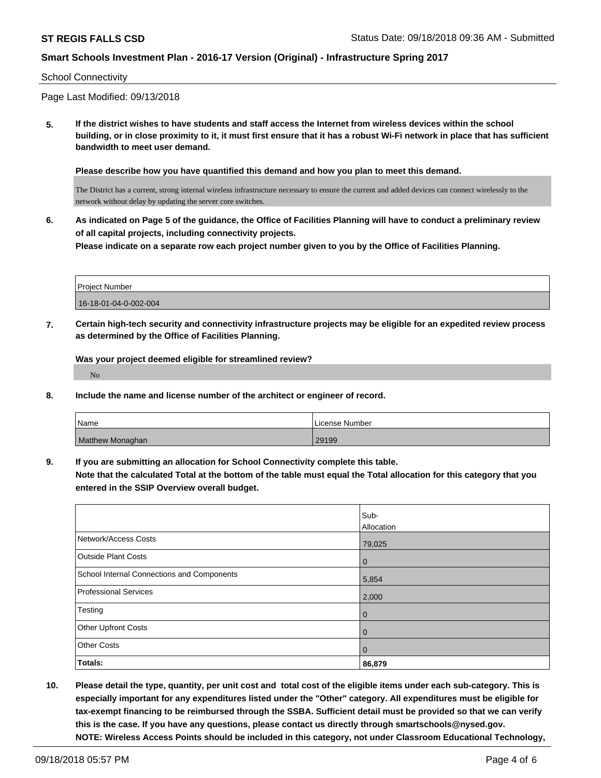#### School Connectivity

Page Last Modified: 09/13/2018

**5. If the district wishes to have students and staff access the Internet from wireless devices within the school building, or in close proximity to it, it must first ensure that it has a robust Wi-Fi network in place that has sufficient bandwidth to meet user demand.**

**Please describe how you have quantified this demand and how you plan to meet this demand.**

The District has a current, strong internal wireless infrastructure necessary to ensure the current and added devices can connect wirelessly to the network without delay by updating the server core switches.

**6. As indicated on Page 5 of the guidance, the Office of Facilities Planning will have to conduct a preliminary review of all capital projects, including connectivity projects. Please indicate on a separate row each project number given to you by the Office of Facilities Planning.**

| <b>Project Number</b> |  |
|-----------------------|--|
| 16-18-01-04-0-002-004 |  |

**7. Certain high-tech security and connectivity infrastructure projects may be eligible for an expedited review process as determined by the Office of Facilities Planning.**

**Was your project deemed eligible for streamlined review?** No

**8. Include the name and license number of the architect or engineer of record.**

| Name                    | License Number |
|-------------------------|----------------|
| <b>Matthew Monaghan</b> | 29199          |

**9. If you are submitting an allocation for School Connectivity complete this table. Note that the calculated Total at the bottom of the table must equal the Total allocation for this category that you**

**entered in the SSIP Overview overall budget.** 

|                                            | Sub-       |
|--------------------------------------------|------------|
|                                            | Allocation |
| Network/Access Costs                       | 79,025     |
| <b>Outside Plant Costs</b>                 | 0          |
| School Internal Connections and Components | 5,854      |
| Professional Services                      | 2,000      |
| Testing                                    | 0          |
| Other Upfront Costs                        | 0          |
| <b>Other Costs</b>                         | 0          |
| Totals:                                    | 86,879     |

**10. Please detail the type, quantity, per unit cost and total cost of the eligible items under each sub-category. This is especially important for any expenditures listed under the "Other" category. All expenditures must be eligible for tax-exempt financing to be reimbursed through the SSBA. Sufficient detail must be provided so that we can verify this is the case. If you have any questions, please contact us directly through smartschools@nysed.gov. NOTE: Wireless Access Points should be included in this category, not under Classroom Educational Technology,**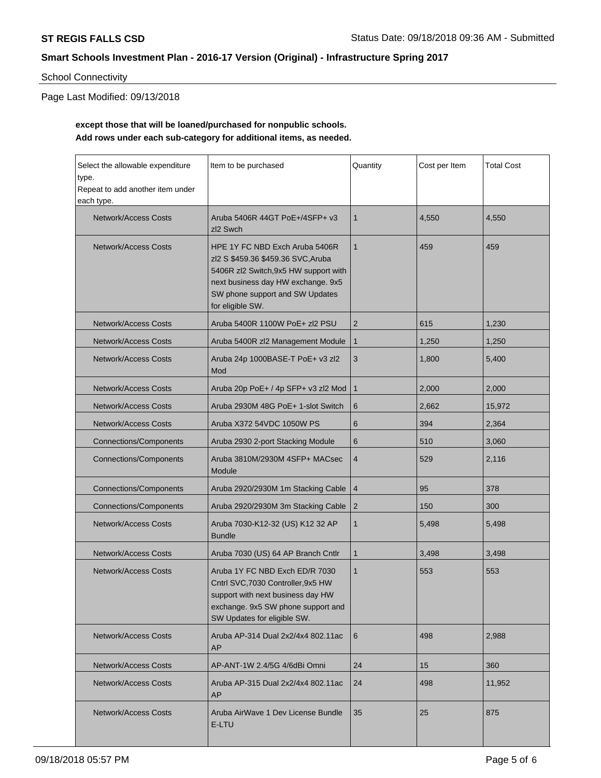# School Connectivity

Page Last Modified: 09/13/2018

# **except those that will be loaned/purchased for nonpublic schools. Add rows under each sub-category for additional items, as needed.**

| Select the allowable expenditure<br>type.<br>Repeat to add another item under<br>each type. | Item to be purchased                                                                                                                                                                                       | Quantity<br>Cost per Item |       | <b>Total Cost</b> |
|---------------------------------------------------------------------------------------------|------------------------------------------------------------------------------------------------------------------------------------------------------------------------------------------------------------|---------------------------|-------|-------------------|
| Network/Access Costs                                                                        | Aruba 5406R 44GT PoE+/4SFP+ v3<br>zl <sub>2</sub> Swch                                                                                                                                                     | $\mathbf{1}$              | 4.550 | 4,550             |
| <b>Network/Access Costs</b>                                                                 | HPE 1Y FC NBD Exch Aruba 5406R<br>zl2 S \$459.36 \$459.36 SVC, Aruba<br>5406R zl2 Switch, 9x5 HW support with<br>next business day HW exchange. 9x5<br>SW phone support and SW Updates<br>for eligible SW. | $\mathbf{1}$              | 459   | 459               |
| <b>Network/Access Costs</b>                                                                 | Aruba 5400R 1100W PoE+ zl2 PSU                                                                                                                                                                             | 2                         | 615   | 1,230             |
| <b>Network/Access Costs</b>                                                                 | Aruba 5400R zl2 Management Module                                                                                                                                                                          | $\mathbf{1}$              | 1,250 | 1,250             |
| Network/Access Costs                                                                        | Aruba 24p 1000BASE-T PoE+ v3 zl2<br>Mod                                                                                                                                                                    | 3                         | 1,800 | 5,400             |
| <b>Network/Access Costs</b>                                                                 | Aruba 20p PoE+ / 4p SFP+ v3 zl2 Mod                                                                                                                                                                        | $\mathbf{1}$              | 2,000 | 2,000             |
| <b>Network/Access Costs</b>                                                                 | Aruba 2930M 48G PoE+ 1-slot Switch                                                                                                                                                                         | 6                         | 2,662 | 15,972            |
| <b>Network/Access Costs</b>                                                                 | Aruba X372 54VDC 1050W PS                                                                                                                                                                                  | 6                         | 394   | 2,364             |
| <b>Connections/Components</b>                                                               | Aruba 2930 2-port Stacking Module                                                                                                                                                                          | 6                         | 510   | 3,060             |
| <b>Connections/Components</b>                                                               | Aruba 3810M/2930M 4SFP+ MACsec<br>Module                                                                                                                                                                   | $\overline{4}$            | 529   | 2,116             |
| <b>Connections/Components</b>                                                               | Aruba 2920/2930M 1m Stacking Cable                                                                                                                                                                         | $\overline{4}$            | 95    | 378               |
| <b>Connections/Components</b>                                                               | Aruba 2920/2930M 3m Stacking Cable                                                                                                                                                                         | 2                         | 150   | 300               |
| <b>Network/Access Costs</b>                                                                 | Aruba 7030-K12-32 (US) K12 32 AP<br><b>Bundle</b>                                                                                                                                                          | 1                         | 5,498 | 5,498             |
| Network/Access Costs                                                                        | Aruba 7030 (US) 64 AP Branch Cntlr                                                                                                                                                                         | $\mathbf 1$               | 3,498 | 3,498             |
| <b>Network/Access Costs</b>                                                                 | Aruba 1Y FC NBD Exch ED/R 7030<br>Cntrl SVC, 7030 Controller, 9x5 HW<br>support with next business day HW<br>exchange. 9x5 SW phone support and<br>SW Updates for eligible SW.                             | $\mathbf{1}$              | 553   | 553               |
| <b>Network/Access Costs</b>                                                                 | Aruba AP-314 Dual 2x2/4x4 802.11ac<br><b>AP</b>                                                                                                                                                            | 6                         | 498   | 2,988             |
| Network/Access Costs                                                                        | AP-ANT-1W 2.4/5G 4/6dBi Omni                                                                                                                                                                               | 24                        | 15    | 360               |
| Network/Access Costs                                                                        | Aruba AP-315 Dual 2x2/4x4 802.11ac<br>AP                                                                                                                                                                   | 24                        | 498   | 11,952            |
| <b>Network/Access Costs</b>                                                                 | Aruba AirWave 1 Dev License Bundle<br>E-LTU                                                                                                                                                                | 35                        | 25    | 875               |